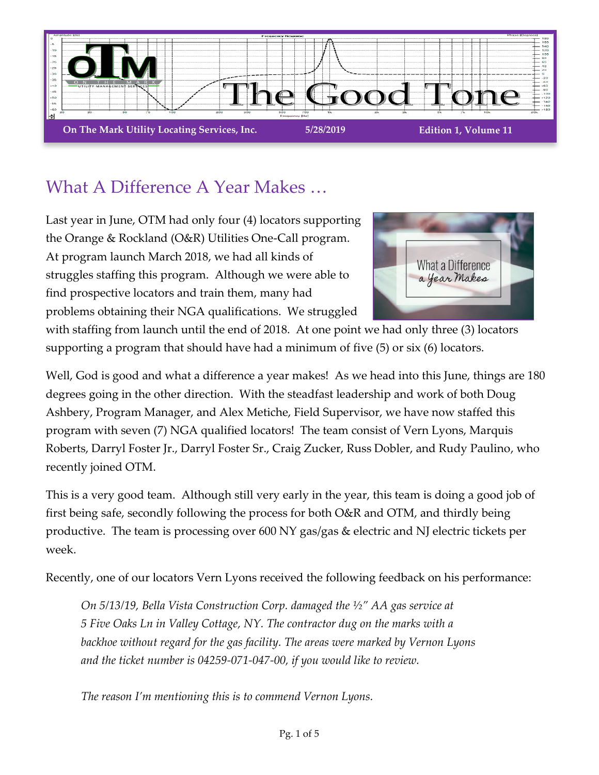

## What A Difference A Year Makes …

Last year in June, OTM had only four (4) locators supporting the Orange & Rockland (O&R) Utilities One-Call program. At program launch March 2018, we had all kinds of struggles staffing this program. Although we were able to find prospective locators and train them, many had problems obtaining their NGA qualifications. We struggled



with staffing from launch until the end of 2018. At one point we had only three (3) locators supporting a program that should have had a minimum of five (5) or six (6) locators.

Well, God is good and what a difference a year makes! As we head into this June, things are 180 degrees going in the other direction. With the steadfast leadership and work of both Doug Ashbery, Program Manager, and Alex Metiche, Field Supervisor, we have now staffed this program with seven (7) NGA qualified locators! The team consist of Vern Lyons, Marquis Roberts, Darryl Foster Jr., Darryl Foster Sr., Craig Zucker, Russ Dobler, and Rudy Paulino, who recently joined OTM.

This is a very good team. Although still very early in the year, this team is doing a good job of first being safe, secondly following the process for both O&R and OTM, and thirdly being productive. The team is processing over 600 NY gas/gas & electric and NJ electric tickets per week.

Recently, one of our locators Vern Lyons received the following feedback on his performance:

*On 5/13/19, Bella Vista Construction Corp. damaged the ½" AA gas service at 5 Five Oaks Ln in Valley Cottage, NY. The contractor dug on the marks with a backhoe without regard for the gas facility. The areas were marked by Vernon Lyons and the ticket number is 04259-071-047-00, if you would like to review.*

*The reason I'm mentioning this is to commend Vernon Lyons.*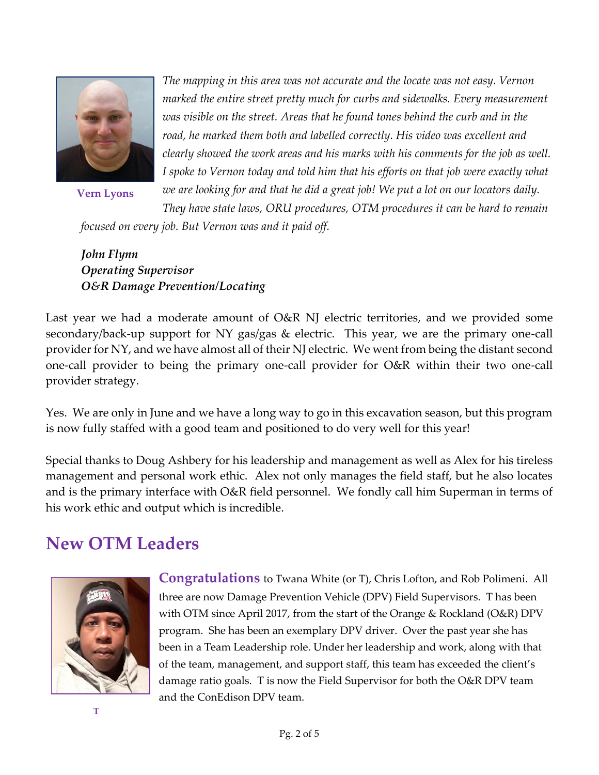

**Vern Lyons**

*The mapping in this area was not accurate and the locate was not easy. Vernon marked the entire street pretty much for curbs and sidewalks. Every measurement was visible on the street. Areas that he found tones behind the curb and in the road, he marked them both and labelled correctly. His video was excellent and clearly showed the work areas and his marks with his comments for the job as well. I spoke to Vernon today and told him that his efforts on that job were exactly what we are looking for and that he did a great job! We put a lot on our locators daily. They have state laws, ORU procedures, OTM procedures it can be hard to remain* 

*focused on every job. But Vernon was and it paid off.*

*John Flynn Operating Supervisor O&R Damage Prevention/Locating*

Last year we had a moderate amount of O&R NJ electric territories, and we provided some secondary/back-up support for NY gas/gas & electric. This year, we are the primary one-call provider for NY, and we have almost all of their NJ electric. We went from being the distant second one-call provider to being the primary one-call provider for O&R within their two one-call provider strategy.

Yes. We are only in June and we have a long way to go in this excavation season, but this program is now fully staffed with a good team and positioned to do very well for this year!

Special thanks to Doug Ashbery for his leadership and management as well as Alex for his tireless management and personal work ethic. Alex not only manages the field staff, but he also locates and is the primary interface with O&R field personnel. We fondly call him Superman in terms of his work ethic and output which is incredible.

### **New OTM Leaders**



**Congratulations** to Twana White (or T), Chris Lofton, and Rob Polimeni. All three are now Damage Prevention Vehicle (DPV) Field Supervisors. T has been with OTM since April 2017, from the start of the Orange & Rockland (O&R) DPV program. She has been an exemplary DPV driver. Over the past year she has been in a Team Leadership role. Under her leadership and work, along with that of the team, management, and support staff, this team has exceeded the client's damage ratio goals. T is now the Field Supervisor for both the O&R DPV team and the ConEdison DPV team.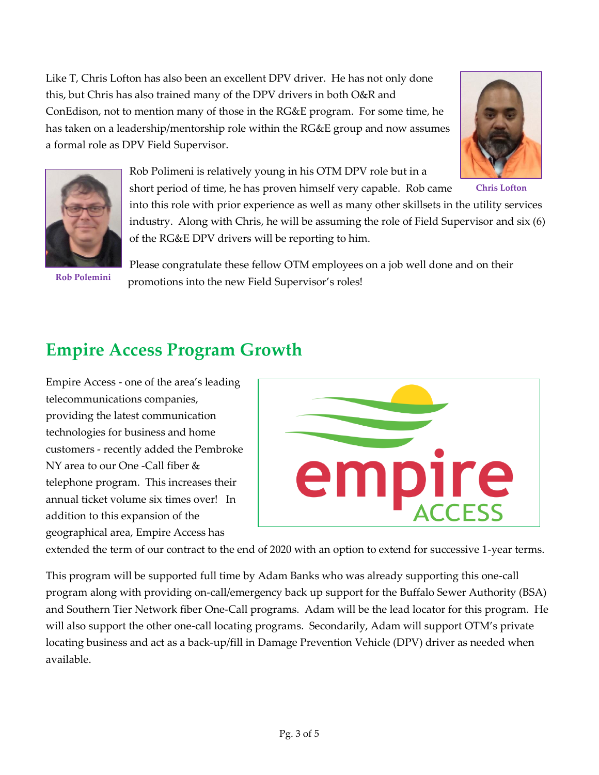Like T, Chris Lofton has also been an excellent DPV driver. He has not only done this, but Chris has also trained many of the DPV drivers in both O&R and ConEdison, not to mention many of those in the RG&E program. For some time, he has taken on a leadership/mentorship role within the RG&E group and now assumes a formal role as DPV Field Supervisor.





Rob Polimeni is relatively young in his OTM DPV role but in a

short period of time, he has proven himself very capable. Rob came into this role with prior experience as well as many other skillsets in the utility services industry. Along with Chris, he will be assuming the role of Field Supervisor and six (6) of the RG&E DPV drivers will be reporting to him.

**Rob Polemini**

Please congratulate these fellow OTM employees on a job well done and on their promotions into the new Field Supervisor's roles!

## **Empire Access Program Growth**

Empire Access - one of the area's leading telecommunications companies, providing the latest communication technologies for business and home customers - recently added the Pembroke NY area to our One -Call fiber & telephone program. This increases their annual ticket volume six times over! In addition to this expansion of the geographical area, Empire Access has



extended the term of our contract to the end of 2020 with an option to extend for successive 1-year terms.

This program will be supported full time by Adam Banks who was already supporting this one-call program along with providing on-call/emergency back up support for the Buffalo Sewer Authority (BSA) and Southern Tier Network fiber One-Call programs. Adam will be the lead locator for this program. He will also support the other one-call locating programs. Secondarily, Adam will support OTM's private locating business and act as a back-up/fill in Damage Prevention Vehicle (DPV) driver as needed when available.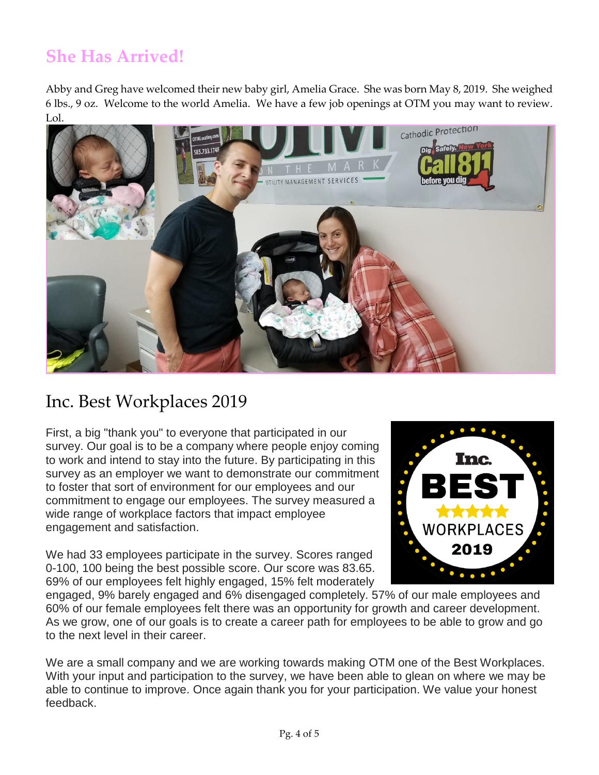# **She Has Arrived!**

Abby and Greg have welcomed their new baby girl, Amelia Grace. She was born May 8, 2019. She weighed 6 lbs., 9 oz. Welcome to the world Amelia. We have a few job openings at OTM you may want to review. Lol.



### Inc. Best Workplaces 2019

First, a big "thank you" to everyone that participated in our survey. Our goal is to be a company where people enjoy coming to work and intend to stay into the future. By participating in this survey as an employer we want to demonstrate our commitment to foster that sort of environment for our employees and our commitment to engage our employees. The survey measured a wide range of workplace factors that impact employee engagement and satisfaction.

We had 33 employees participate in the survey. Scores ranged 0-100, 100 being the best possible score. Our score was 83.65. 69% of our employees felt highly engaged, 15% felt moderately



engaged, 9% barely engaged and 6% disengaged completely. 57% of our male employees and 60% of our female employees felt there was an opportunity for growth and career development. As we grow, one of our goals is to create a career path for employees to be able to grow and go to the next level in their career.

We are a small company and we are working towards making OTM one of the Best Workplaces. With your input and participation to the survey, we have been able to glean on where we may be able to continue to improve. Once again thank you for your participation. We value your honest feedback.